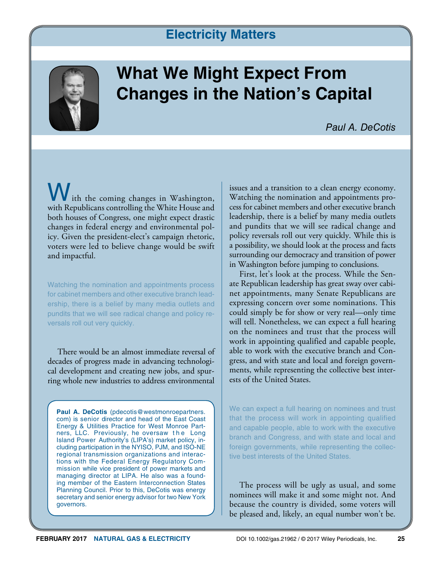# **Electricity Matters**



# **What We Might Expect From Changes in the Nation's Capital**

*Paul A. DeCotis*

ith the coming changes in Washington, with Republicans controlling the White House and both houses of Congress, one might expect drastic changes in federal energy and environmental policy. Given the president-elect's campaign rhetoric, voters were led to believe change would be swift and impactful.

Watching the nomination and appointments process for cabinet members and other executive branch leadership, there is a belief by many media outlets and pundits that we will see radical change and policy reversals roll out very quickly.

There would be an almost immediate reversal of decades of progress made in advancing technological development and creating new jobs, and spurring whole new industries to address environmental

Paul A. DeCotis (pdecotis@westmonroepartners. com) is senior director and head of the East Coast Energy & Utilities Practice for West Monroe Partners, LLC. Previously, he oversaw the Long Island Power Authority's (LIPA's) market policy, including participation in the NYISO, PJM, and ISO-NE regional transmission organizations and interactions with the Federal Energy Regulatory Commission while vice president of power markets and managing director at LIPA. He also was a founding member of the Eastern Interconnection States Planning Council. Prior to this, DeCotis was energy secretary and senior energy advisor for two New York governors.

issues and a transition to a clean energy economy. Watching the nomination and appointments process for cabinet members and other executive branch leadership, there is a belief by many media outlets and pundits that we will see radical change and policy reversals roll out very quickly. While this is a possibility, we should look at the process and facts surrounding our democracy and transition of power in Washington before jumping to conclusions.

First, let's look at the process. While the Senate Republican leadership has great sway over cabinet appointments, many Senate Republicans are expressing concern over some nominations. This could simply be for show or very real—only time will tell. Nonetheless, we can expect a full hearing on the nominees and trust that the process will work in appointing qualified and capable people, able to work with the executive branch and Congress, and with state and local and foreign governments, while representing the collective best interests of the United States.

We can expect a full hearing on nominees and trust that the process will work in appointing qualified and capable people, able to work with the executive branch and Congress, and with state and local and foreign governments, while representing the collective best interests of the United States.

The process will be ugly as usual, and some nominees will make it and some might not. And because the country is divided, some voters will be pleased and, likely, an equal number won't be.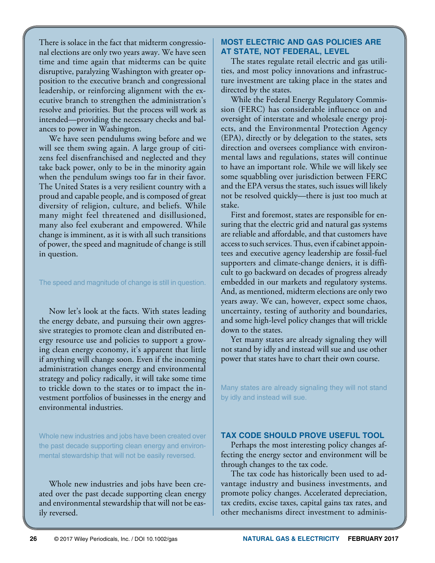There is solace in the fact that midterm congressional elections are only two years away. We have seen time and time again that midterms can be quite disruptive, paralyzing Washington with greater opposition to the executive branch and congressional leadership, or reinforcing alignment with the executive branch to strengthen the administration's resolve and priorities. But the process will work as intended—providing the necessary checks and balances to power in Washington.

We have seen pendulums swing before and we will see them swing again. A large group of citizens feel disenfranchised and neglected and they take back power, only to be in the minority again when the pendulum swings too far in their favor. The United States is a very resilient country with a proud and capable people, and is composed of great diversity of religion, culture, and beliefs. While many might feel threatened and disillusioned, many also feel exuberant and empowered. While change is imminent, as it is with all such transitions of power, the speed and magnitude of change is still in question.

#### The speed and magnitude of change is still in question.

Now let's look at the facts. With states leading the energy debate, and pursuing their own aggressive strategies to promote clean and distributed energy resource use and policies to support a growing clean energy economy, it's apparent that little if anything will change soon. Even if the incoming administration changes energy and environmental strategy and policy radically, it will take some time to trickle down to the states or to impact the investment portfolios of businesses in the energy and environmental industries.

Whole new industries and jobs have been created over the past decade supporting clean energy and environmental stewardship that will not be easily reversed.

Whole new industries and jobs have been created over the past decade supporting clean energy and environmental stewardship that will not be easily reversed.

### **MOST ELECTRIC AND GAS POLICIES ARE AT STATE, NOT FEDERAL, LEVEL**

The states regulate retail electric and gas utilities, and most policy innovations and infrastructure investment are taking place in the states and directed by the states.

While the Federal Energy Regulatory Commission (FERC) has considerable influence on and oversight of interstate and wholesale energy projects, and the Environmental Protection Agency (EPA), directly or by delegation to the states, sets direction and oversees compliance with environmental laws and regulations, states will continue to have an important role. While we will likely see some squabbling over jurisdiction between FERC and the EPA versus the states, such issues will likely not be resolved quickly—there is just too much at stake.

First and foremost, states are responsible for ensuring that the electric grid and natural gas systems are reliable and affordable, and that customers have access to such services. Thus, even if cabinet appointees and executive agency leadership are fossil-fuel supporters and climate-change deniers, it is difficult to go backward on decades of progress already embedded in our markets and regulatory systems. And, as mentioned, midterm elections are only two years away. We can, however, expect some chaos, uncertainty, testing of authority and boundaries, and some high-level policy changes that will trickle down to the states.

Yet many states are already signaling they will not stand by idly and instead will sue and use other power that states have to chart their own course.

Many states are already signaling they will not stand by idly and instead will sue.

#### **TAX CODE SHOULD PROVE USEFUL TOOL**

Perhaps the most interesting policy changes affecting the energy sector and environment will be through changes to the tax code.

The tax code has historically been used to advantage industry and business investments, and promote policy changes. Accelerated depreciation, tax credits, excise taxes, capital gains tax rates, and other mechanisms direct investment to adminis-